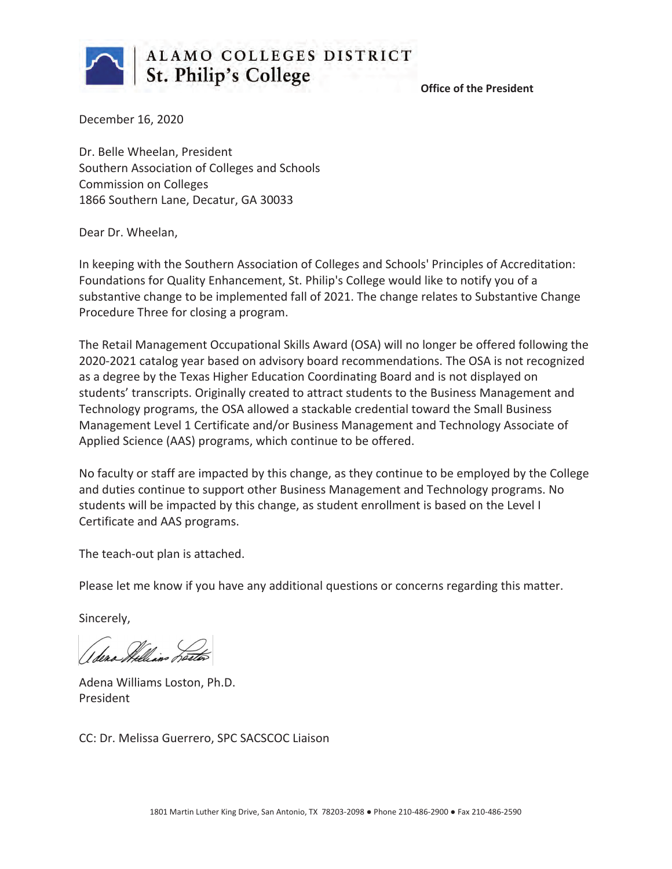

 **Office of the President**

December 16, 2020

Dr. Belle Wheelan, President Southern Association of Colleges and Schools Commission on Colleges 1866 Southern Lane, Decatur, GA 30033

Dear Dr. Wheelan,

In keeping with the Southern Association of Colleges and Schools' Principles of Accreditation: Foundations for Quality Enhancement, St. Philip's College would like to notify you of a substantive change to be implemented fall of 2021. The change relates to Substantive Change Procedure Three for closing a program.

The Retail Management Occupational Skills Award (OSA) will no longer be offered following the 2020-2021 catalog year based on advisory board recommendations. The OSA is not recognized as a degree by the Texas Higher Education Coordinating Board and is not displayed on students' transcripts. Originally created to attract students to the Business Management and Technology programs, the OSA allowed a stackable credential toward the Small Business Management Level 1 Certificate and/or Business Management and Technology Associate of Applied Science (AAS) programs, which continue to be offered.

No faculty or staff are impacted by this change, as they continue to be employed by the College and duties continue to support other Business Management and Technology programs. No students will be impacted by this change, as student enrollment is based on the Level I Certificate and AAS programs.

The teach-out plan is attached.

Please let me know if you have any additional questions or concerns regarding this matter.

Sincerely,

Adena Williams Loston, Ph.D. President

CC: Dr. Melissa Guerrero, SPC SACSCOC Liaison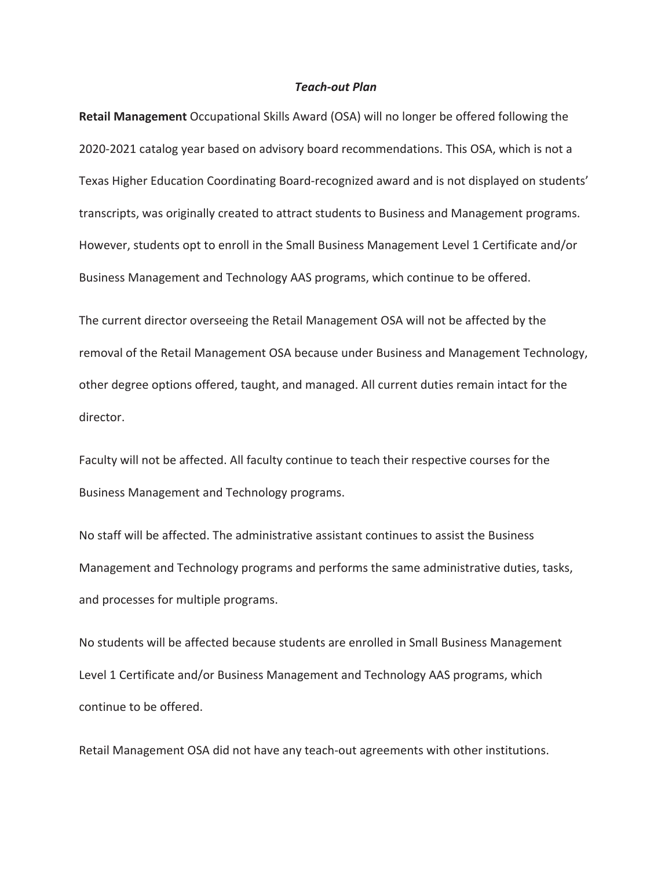#### *Teach-out Plan*

**Retail Management** Occupational Skills Award (OSA) will no longer be offered following the 2020-2021 catalog year based on advisory board recommendations. This OSA, which is not a Texas Higher Education Coordinating Board-recognized award and is not displayed on students' transcripts, was originally created to attract students to Business and Management programs. However, students opt to enroll in the Small Business Management Level 1 Certificate and/or Business Management and Technology AAS programs, which continue to be offered.

The current director overseeing the Retail Management OSA will not be affected by the removal of the Retail Management OSA because under Business and Management Technology, other degree options offered, taught, and managed. All current duties remain intact for the director.

Faculty will not be affected. All faculty continue to teach their respective courses for the Business Management and Technology programs.

No staff will be affected. The administrative assistant continues to assist the Business Management and Technology programs and performs the same administrative duties, tasks, and processes for multiple programs.

No students will be affected because students are enrolled in Small Business Management Level 1 Certificate and/or Business Management and Technology AAS programs, which continue to be offered.

Retail Management OSA did not have any teach-out agreements with other institutions.